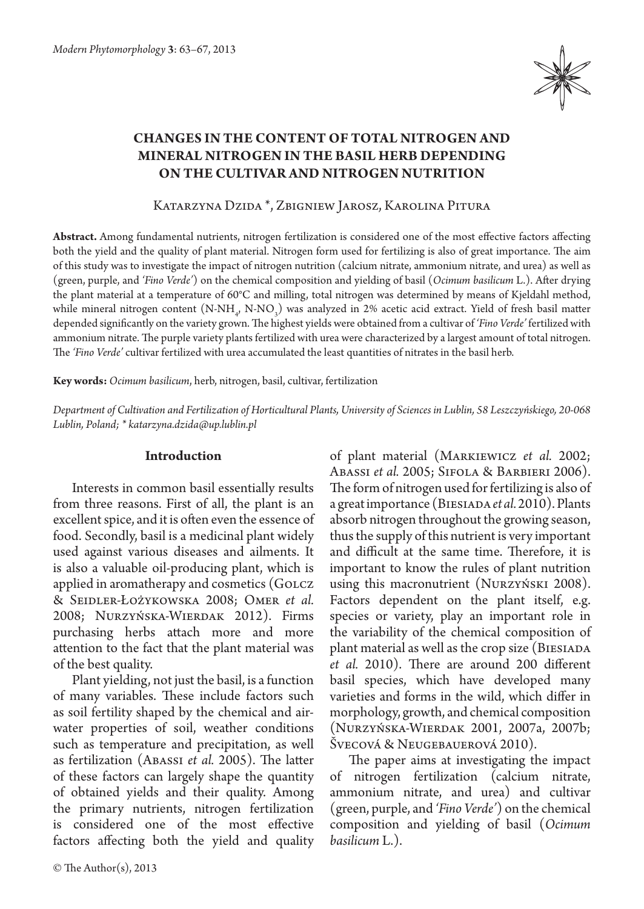

# **Changes in the content of total nitrogen and mineral nitrogen in the basil herb depending on the cultivar and nitrogen nutrition**

Katarzyna Dzida \*, Zbigniew Jarosz, Karolina Pitura

**Abstract.** Among fundamental nutrients, nitrogen fertilization is considered one of the most effective factors affecting both the yield and the quality of plant material. Nitrogen form used for fertilizing is also of great importance. The aim of this study was to investigate the impact of nitrogen nutrition (calcium nitrate, ammonium nitrate, and urea) as well as (green, purple, and *'Fino Verde'*) on the chemical composition and yielding of basil (*Ocimum basilicum* L.). After drying the plant material at a temperature of 60°C and milling, total nitrogen was determined by means of Kjeldahl method, while mineral nitrogen content  $(N-NH_{\psi}N-NO_{3})$  was analyzed in 2% acetic acid extract. Yield of fresh basil matter depended significantly on the variety grown. The highest yields were obtained from a cultivar of *'Fino Verde'* fertilized with ammonium nitrate. The purple variety plants fertilized with urea were characterized by a largest amount of total nitrogen. The *'Fino Verde'* cultivar fertilized with urea accumulated the least quantities of nitrates in the basil herb.

**Key words:** *Ocimum basilicum*, herb, nitrogen, basil, cultivar, fertilization

*Department of Cultivation and Fertilization of Horticultural Plants, University of Sciences in Lublin, 58 Leszczyńskiego, 20-068 Lublin, Poland; \* katarzyna.dzida@up.lublin.pl*

# **Introduction**

Interests in common basil essentially results from three reasons. First of all, the plant is an excellent spice, and it is often even the essence of food. Secondly, basil is a medicinal plant widely used against various diseases and ailments. It is also a valuable oil-producing plant, which is applied in aromatherapy and cosmetics (GOLCZ & Seidler-Łożykowska 2008; Omer *et al.* 2008; Nurzyńska-Wierdak 2012). Firms purchasing herbs attach more and more attention to the fact that the plant material was of the best quality.

Plant yielding, not just the basil, is a function of many variables. These include factors such as soil fertility shaped by the chemical and airwater properties of soil, weather conditions such as temperature and precipitation, as well as fertilization (Abassi *et al.* 2005). The latter of these factors can largely shape the quantity of obtained yields and their quality. Among the primary nutrients, nitrogen fertilization is considered one of the most effective factors affecting both the yield and quality

of plant material (Markiewicz *et al.* 2002; Abassi *et al.* 2005; Sifola & Barbieri 2006). The form of nitrogen used for fertilizing is also of a great importance (Biesiada*et al.* 2010). Plants absorb nitrogen throughout the growing season, thus the supply of this nutrient is very important and difficult at the same time. Therefore, it is important to know the rules of plant nutrition using this macronutrient (Nurzyński 2008). Factors dependent on the plant itself, e.g. species or variety, play an important role in the variability of the chemical composition of plant material as well as the crop size (BIESIADA *et al.* 2010). There are around 200 different basil species, which have developed many varieties and forms in the wild, which differ in morphology, growth, and chemical composition (Nurzyńska-Wierdak 2001, 2007a, 2007b; Švecová & Neugebauerová 2010).

The paper aims at investigating the impact of nitrogen fertilization (calcium nitrate, ammonium nitrate, and urea) and cultivar (green, purple, and *'Fino Verde'*) on the chemical composition and yielding of basil (*Ocimum basilicum* L.).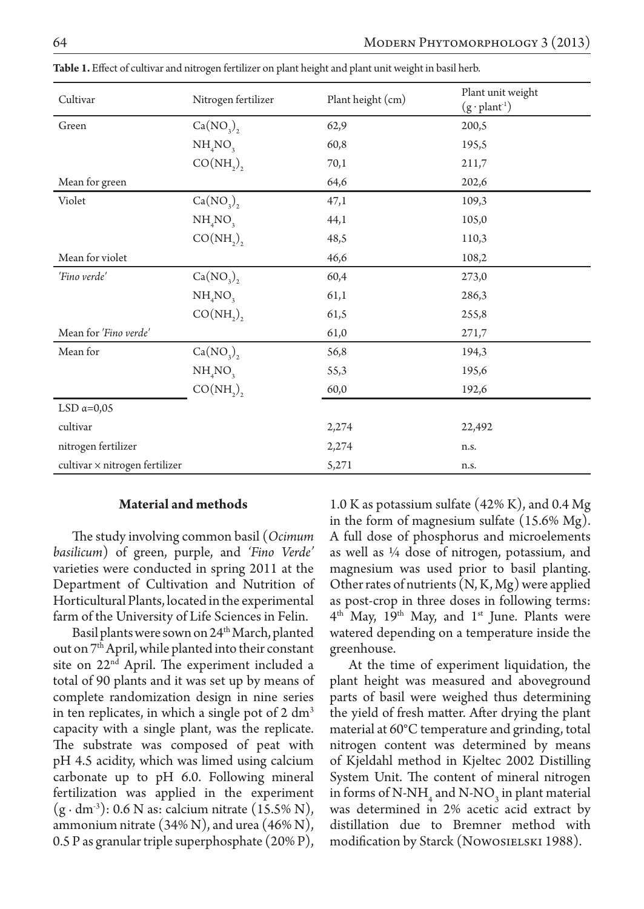| Cultivar                       | Nitrogen fertilizer             | Plant height (cm) | Plant unit weight<br>$(g \cdot plant^{-1})$ |
|--------------------------------|---------------------------------|-------------------|---------------------------------------------|
| Green                          | $Ca(NO_2)$ ,                    | 62,9              | 200,5                                       |
|                                | NH <sub>4</sub> NO <sub>3</sub> | 60,8              | 195,5                                       |
|                                | $CO(NH_2)$                      | 70,1              | 211,7                                       |
| Mean for green                 |                                 | 64,6              | 202,6                                       |
| Violet                         | $Ca(NO_3)$                      | 47,1              | 109,3                                       |
|                                | NH <sub>4</sub> NO <sub>3</sub> | 44,1              | 105,0                                       |
|                                | $CO(NH_2)$ ,                    | 48,5              | 110,3                                       |
| Mean for violet                |                                 | 46,6              | 108,2                                       |
| 'Fino verde'                   | $Ca(NO_2)$ ,                    | 60,4              | 273,0                                       |
|                                | $NH_{4}NO_{3}$                  | 61,1              | 286,3                                       |
|                                | $CO(NH_2)$                      | 61,5              | 255,8                                       |
| Mean for 'Fino verde'          |                                 | 61,0              | 271,7                                       |
| Mean for                       | $Ca(NO_2),$                     | 56,8              | 194,3                                       |
|                                | NH <sub>4</sub> NO <sub>3</sub> | 55,3              | 195,6                                       |
|                                | $CO(NH_2)$                      | 60,0              | 192,6                                       |
| LSD $\alpha=0.05$              |                                 |                   |                                             |
| cultivar                       |                                 | 2,274             | 22,492                                      |
| nitrogen fertilizer            |                                 | 2,274             | n.s.                                        |
| cultivar × nitrogen fertilizer |                                 | 5,271             | n.s.                                        |

**Table 1.** Effect of cultivar and nitrogen fertilizer on plant height and plant unit weight in basil herb.

### **Material and methods**

The study involving common basil (*Ocimum basilicum*) of green, purple, and *'Fino Verde'*  varieties were conducted in spring 2011 at the Department of Cultivation and Nutrition of Horticultural Plants, located in the experimental farm of the University of Life Sciences in Felin.

Basil plants were sown on 24<sup>th</sup> March, planted out on 7th April, while planted into their constant site on 22<sup>nd</sup> April. The experiment included a total of 90 plants and it was set up by means of complete randomization design in nine series in ten replicates, in which a single pot of  $2 \text{ dm}^3$ capacity with a single plant, was the replicate. The substrate was composed of peat with pH 4.5 acidity, which was limed using calcium carbonate up to pH 6.0. Following mineral fertilization was applied in the experiment  $(g \cdot dm^3)$ : 0.6 N as: calcium nitrate (15.5% N), ammonium nitrate (34% N), and urea (46% N), 0.5 P as granular triple superphosphate (20% P),

1.0 K as potassium sulfate (42% K), and 0.4 Mg in the form of magnesium sulfate (15.6% Mg). A full dose of phosphorus and microelements as well as ¼ dose of nitrogen, potassium, and magnesium was used prior to basil planting. Other rates of nutrients (N, K, Mg) were applied as post-crop in three doses in following terms:  $4<sup>th</sup>$  May, 19<sup>th</sup> May, and 1<sup>st</sup> June. Plants were watered depending on a temperature inside the greenhouse.

At the time of experiment liquidation, the plant height was measured and aboveground parts of basil were weighed thus determining the yield of fresh matter. After drying the plant material at 60°C temperature and grinding, total nitrogen content was determined by means of Kjeldahl method in Kjeltec 2002 Distilling System Unit. The content of mineral nitrogen in forms of N-NH<sub>4</sub> and N-NO<sub>3</sub> in plant material was determined in 2% acetic acid extract by distillation due to Bremner method with modification by Starck (Nowosielski 1988).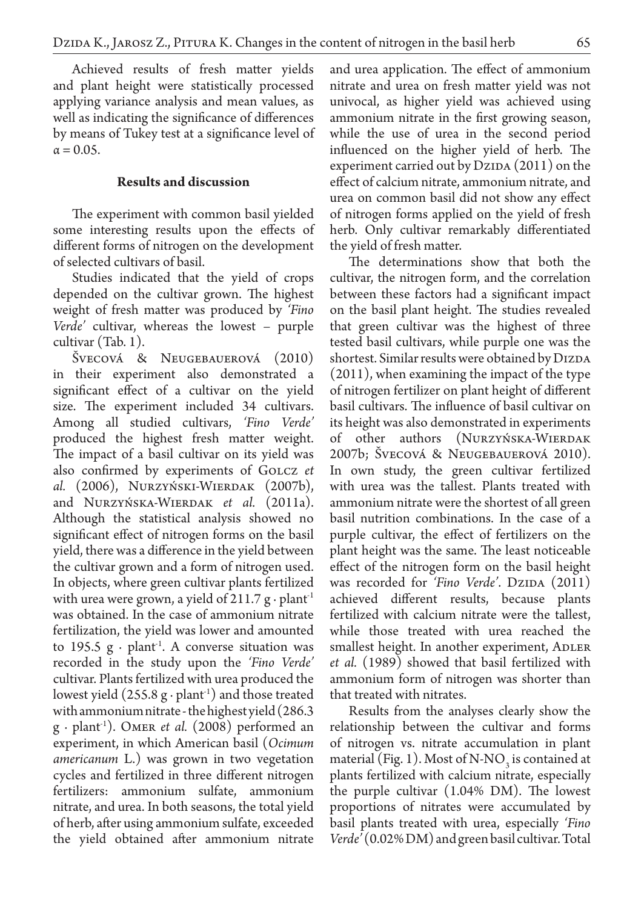Achieved results of fresh matter yields and plant height were statistically processed applying variance analysis and mean values, as well as indicating the significance of differences by means of Tukey test at a significance level of  $\alpha = 0.05$ .

# **Results and discussion**

The experiment with common basil yielded some interesting results upon the effects of different forms of nitrogen on the development of selected cultivars of basil.

Studies indicated that the yield of crops depended on the cultivar grown. The highest weight of fresh matter was produced by *'Fino Verde'* cultivar, whereas the lowest – purple cultivar (Tab. 1).

Švecová & Neugebauerová (2010) in their experiment also demonstrated a significant effect of a cultivar on the yield size. The experiment included 34 cultivars. Among all studied cultivars, *'Fino Verde'* produced the highest fresh matter weight. The impact of a basil cultivar on its yield was also confirmed by experiments of Golcz *et al.* (2006), Nurzyński-Wierdak (2007b), and Nurzyńska-Wierdak *et al.* (2011a). Although the statistical analysis showed no significant effect of nitrogen forms on the basil yield, there was a difference in the yield between the cultivar grown and a form of nitrogen used. In objects, where green cultivar plants fertilized with urea were grown, a yield of 211.7 g ⋅ plant<sup>-1</sup> was obtained. In the case of ammonium nitrate fertilization, the yield was lower and amounted to 195.5  $g \cdot$  plant<sup>-1</sup>. A converse situation was recorded in the study upon the *'Fino Verde'*  cultivar. Plants fertilized with urea produced the lowest yield  $(255.8 \text{ g} \cdot \text{plant}^{-1})$  and those treated with ammonium nitrate - the highest yield (286.3 g ∙ plant-1). Omer *et al.* (2008) performed an experiment, in which American basil (*Ocimum americanum L.*) was grown in two vegetation cycles and fertilized in three different nitrogen fertilizers: ammonium sulfate, ammonium nitrate, and urea. In both seasons, the total yield of herb, after using ammonium sulfate, exceeded the yield obtained after ammonium nitrate and urea application. The effect of ammonium nitrate and urea on fresh matter yield was not univocal, as higher yield was achieved using ammonium nitrate in the first growing season, while the use of urea in the second period influenced on the higher yield of herb. The experiment carried out by  $Dz<sub>1</sub>(2011)$  on the effect of calcium nitrate, ammonium nitrate, and urea on common basil did not show any effect of nitrogen forms applied on the yield of fresh herb. Only cultivar remarkably differentiated the yield of fresh matter.

The determinations show that both the cultivar, the nitrogen form, and the correlation between these factors had a significant impact on the basil plant height. The studies revealed that green cultivar was the highest of three tested basil cultivars, while purple one was the shortest. Similar results were obtained by DIZDA (2011), when examining the impact of the type of nitrogen fertilizer on plant height of different basil cultivars. The influence of basil cultivar on its height was also demonstrated in experiments of other authors (Nurzyńska-Wierdak 2007b; Švecová & Neugebauerová 2010). In own study, the green cultivar fertilized with urea was the tallest. Plants treated with ammonium nitrate were the shortest of all green basil nutrition combinations. In the case of a purple cultivar, the effect of fertilizers on the plant height was the same. The least noticeable effect of the nitrogen form on the basil height was recorded for *'Fino Verde'*. Dzipa (2011) achieved different results, because plants fertilized with calcium nitrate were the tallest, while those treated with urea reached the smallest height. In another experiment, ADLER *et al.* (1989) showed that basil fertilized with ammonium form of nitrogen was shorter than that treated with nitrates.

Results from the analyses clearly show the relationship between the cultivar and forms of nitrogen vs. nitrate accumulation in plant material (Fig. 1). Most of N-NO<sub>3</sub> is contained at plants fertilized with calcium nitrate, especially the purple cultivar (1.04% DM). The lowest proportions of nitrates were accumulated by basil plants treated with urea, especially *'Fino Verde'* (0.02% DM) and green basil cultivar. Total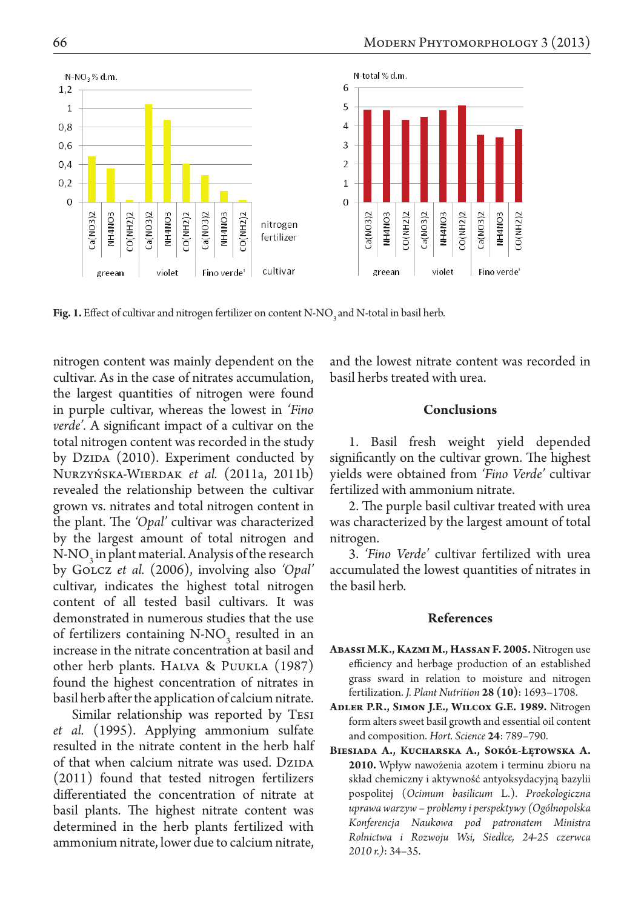

Fig. 1. Effect of cultivar and nitrogen fertilizer on content N-NO<sub>3</sub> and N-total in basil herb.

nitrogen content was mainly dependent on the cultivar. As in the case of nitrates accumulation, the largest quantities of nitrogen were found in purple cultivar, whereas the lowest in *'Fino verde'.* A significant impact of a cultivar on the total nitrogen content was recorded in the study by Dzipa (2010). Experiment conducted by Nurzyńska-Wierdak *et al.* (2011a, 2011b) revealed the relationship between the cultivar grown vs. nitrates and total nitrogen content in the plant. The *'Opal'* cultivar was characterized by the largest amount of total nitrogen and  $N-NO_3$  in plant material. Analysis of the research by Golcz *et al.* (2006), involving also *'Opal'* cultivar, indicates the highest total nitrogen content of all tested basil cultivars. It was demonstrated in numerous studies that the use of fertilizers containing  $N-NO_3$  resulted in an increase in the nitrate concentration at basil and other herb plants. Halva & Puukla (1987) found the highest concentration of nitrates in basil herb after the application of calcium nitrate.

Similar relationship was reported by Tesi *et al.* (1995). Applying ammonium sulfate resulted in the nitrate content in the herb half of that when calcium nitrate was used. DZIDA (2011) found that tested nitrogen fertilizers differentiated the concentration of nitrate at basil plants. The highest nitrate content was determined in the herb plants fertilized with ammonium nitrate, lower due to calcium nitrate,

and the lowest nitrate content was recorded in basil herbs treated with urea.

#### **Conclusions**

1. Basil fresh weight yield depended significantly on the cultivar grown. The highest yields were obtained from *'Fino Verde'* cultivar fertilized with ammonium nitrate.

2. The purple basil cultivar treated with urea was characterized by the largest amount of total nitrogen.

3. *'Fino Verde'* cultivar fertilized with urea accumulated the lowest quantities of nitrates in the basil herb.

### **References**

- **Abassi M.K., Kazmi M., Hassan F. 2005.** Nitrogen use efficiency and herbage production of an established grass sward in relation to moisture and nitrogen fertilization. *J. Plant Nutrition* **28 (10)**: 1693–1708.
- **Adler P.R., Simon J.E., Wilcox G.E. 1989.** Nitrogen form alters sweet basil growth and essential oil content and composition. *Hort. Science* **24**: 789–790.
- **Biesiada A., Kucharska A., Sokół-Łętowska A. 2010.** Wpływ nawożenia azotem i terminu zbioru na skład chemiczny i aktywność antyoksydacyjną bazylii pospolitej (*Ocimum basilicum* L.). *Proekologiczna uprawa warzyw – problemy i perspektywy (Ogólnopolska Konferencja Naukowa pod patronatem Ministra Rolnictwa i Rozwoju Wsi, Siedlce, 24-25 czerwca 2010 r.)*: 34–35.